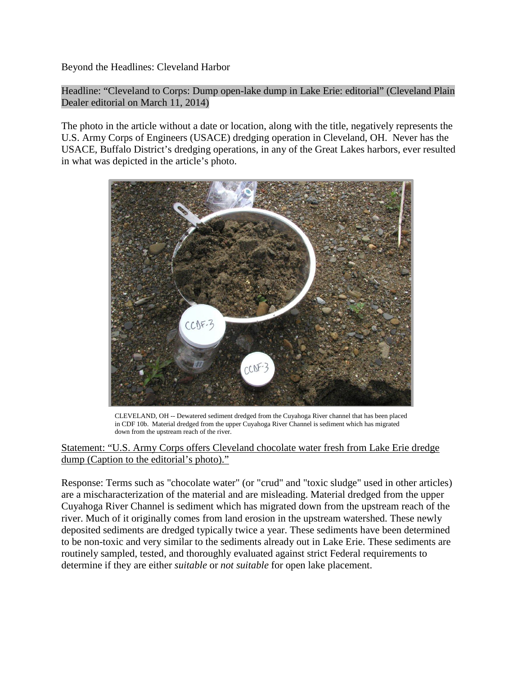Beyond the Headlines: Cleveland Harbor

Headline: "Cleveland to Corps: Dump open-lake dump in Lake Erie: editorial" (Cleveland Plain Dealer editorial on March 11, 2014)

The photo in the article without a date or location, along with the title, negatively represents the U.S. Army Corps of Engineers (USACE) dredging operation in Cleveland, OH. Never has the USACE, Buffalo District's dredging operations, in any of the Great Lakes harbors, ever resulted in what was depicted in the article's photo.



CLEVELAND, OH -- Dewatered sediment dredged from the Cuyahoga River channel that has been placed in CDF 10b. Material dredged from the upper Cuyahoga River Channel is sediment which has migrated down from the upstream reach of the river.

## Statement: "U.S. Army Corps offers Cleveland chocolate water fresh from Lake Erie dredge dump (Caption to the editorial's photo)."

Response: Terms such as "chocolate water" (or "crud" and "toxic sludge" used in other articles) are a mischaracterization of the material and are misleading. Material dredged from the upper Cuyahoga River Channel is sediment which has migrated down from the upstream reach of the river. Much of it originally comes from land erosion in the upstream watershed. These newly deposited sediments are dredged typically twice a year. These sediments have been determined to be non-toxic and very similar to the sediments already out in Lake Erie. These sediments are routinely sampled, tested, and thoroughly evaluated against strict Federal requirements to determine if they are either *suitable* or *not suitable* for open lake placement.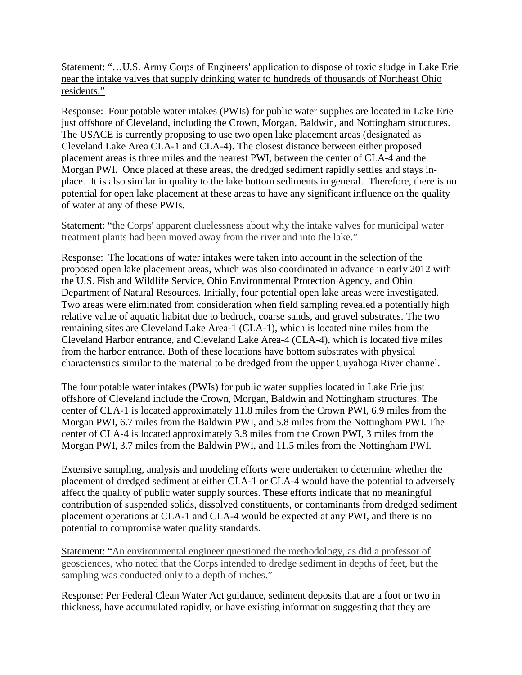Statement: "…U.S. Army Corps of Engineers' [application](http://www.cleveland.com/metro/index.ssf/2014/01/army_corps_of_engineers_says_c.html) to dispose of toxic sludge in Lake Erie near the intake valves that supply drinking water to hundreds of thousands of Northeast Ohio residents."

Response: Four potable water intakes (PWIs) for public water supplies are located in Lake Erie just offshore of Cleveland, including the Crown, Morgan, Baldwin, and Nottingham structures. The USACE is currently proposing to use two open lake placement areas (designated as Cleveland Lake Area CLA-1 and CLA-4). The closest distance between either proposed placement areas is three miles and the nearest PWI, between the center of CLA-4 and the Morgan PWI. Once placed at these areas, the dredged sediment rapidly settles and stays inplace. It is also similar in quality to the lake bottom sediments in general. Therefore, there is no potential for open lake placement at these areas to have any significant influence on the quality of water at any of these PWIs.

## Statement: "the Corps' apparent cluelessness about why the intake valves for municipal water treatment plants had been moved away from the river and into the lake."

Response: The locations of water intakes were taken into account in the selection of the proposed open lake placement areas, which was also coordinated in advance in early 2012 with the U.S. Fish and Wildlife Service, Ohio Environmental Protection Agency, and Ohio Department of Natural Resources. Initially, four potential open lake areas were investigated. Two areas were eliminated from consideration when field sampling revealed a potentially high relative value of aquatic habitat due to bedrock, coarse sands, and gravel substrates. The two remaining sites are Cleveland Lake Area-1 (CLA-1), which is located nine miles from the Cleveland Harbor entrance, and Cleveland Lake Area-4 (CLA-4), which is located five miles from the harbor entrance. Both of these locations have bottom substrates with physical characteristics similar to the material to be dredged from the upper Cuyahoga River channel.

The four potable water intakes (PWIs) for public water supplies located in Lake Erie just offshore of Cleveland include the Crown, Morgan, Baldwin and Nottingham structures. The center of CLA-1 is located approximately 11.8 miles from the Crown PWI, 6.9 miles from the Morgan PWI, 6.7 miles from the Baldwin PWI, and 5.8 miles from the Nottingham PWI. The center of CLA-4 is located approximately 3.8 miles from the Crown PWI, 3 miles from the Morgan PWI, 3.7 miles from the Baldwin PWI, and 11.5 miles from the Nottingham PWI.

Extensive sampling, analysis and modeling efforts were undertaken to determine whether the placement of dredged sediment at either CLA-1 or CLA-4 would have the potential to adversely affect the quality of public water supply sources. These efforts indicate that no meaningful contribution of suspended solids, dissolved constituents, or contaminants from dredged sediment placement operations at CLA-1 and CLA-4 would be expected at any PWI, and there is no potential to compromise water quality standards.

Statement: "An environmental engineer questioned the methodology, as did a professor of geosciences, who noted that the Corps intended to dredge sediment in depths of feet, but the sampling was conducted only to a depth of inches."

Response: Per Federal Clean Water Act guidance, sediment deposits that are a foot or two in thickness, have accumulated rapidly, or have existing information suggesting that they are